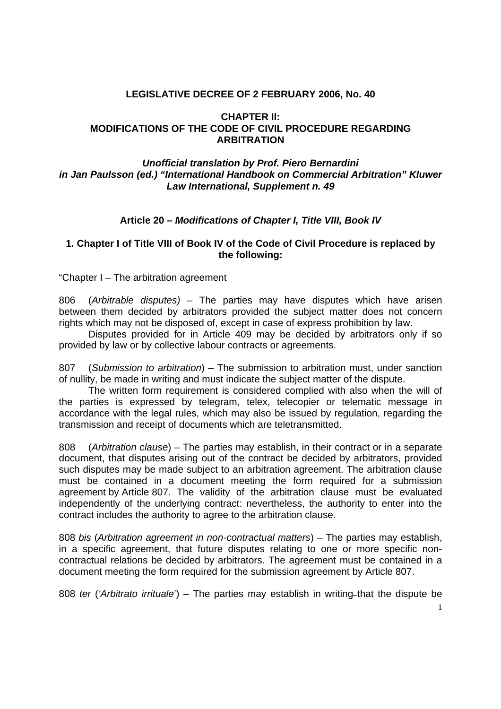# **LEGISLATIVE DECREE OF 2 FEBRUARY 2006, No. 40**

### **CHAPTER II: MODIFICATIONS OF THE CODE OF CIVIL PROCEDURE REGARDING ARBITRATION**

### *Unofficial translation by Prof. Piero Bernardini in Jan Paulsson (ed.) "International Handbook on Commercial Arbitration" Kluwer Law International, Supplement n. 49*

## **Article 20 –** *Modifications of Chapter I, Title VIII, Book IV*

### **1. Chapter I of Title VIII of Book IV of the Code of Civil Procedure is replaced by the following:**

"Chapter I – The arbitration agreement

806 (*Arbitrable disputes) –* The parties may have disputes which have arisen between them decided by arbitrators provided the subject matter does not concern rights which may not be disposed of, except in case of express prohibition by law.

 Disputes provided for in Article 409 may be decided by arbitrators only if so provided by law or by collective labour contracts or agreements.

807 (*Submission to arbitration*) – The submission to arbitration must, under sanction of nullity, be made in writing and must indicate the subject matter of the dispute.

 The written form requirement is considered complied with also when the will of the parties is expressed by telegram, telex, telecopier or telematic message in accordance with the legal rules, which may also be issued by regulation, regarding the transmission and receipt of documents which are teletransmitted.

808 (*Arbitration clause*) – The parties may establish, in their contract or in a separate document, that disputes arising out of the contract be decided by arbitrators, provided such disputes may be made subject to an arbitration agreement. The arbitration clause must be contained in a document meeting the form required for a submission agreement by Article 807. The validity of the arbitration clause must be evaluated independently of the underlying contract: nevertheless, the authority to enter into the contract includes the authority to agree to the arbitration clause.

808 *bis* (*Arbitration agreement in non-contractual matters*) – The parties may establish, in a specific agreement, that future disputes relating to one or more specific noncontractual relations be decided by arbitrators. The agreement must be contained in a document meeting the form required for the submission agreement by Article 807.

808 ter ('Arbitrato irrituale') – The parties may establish in writing-that the dispute be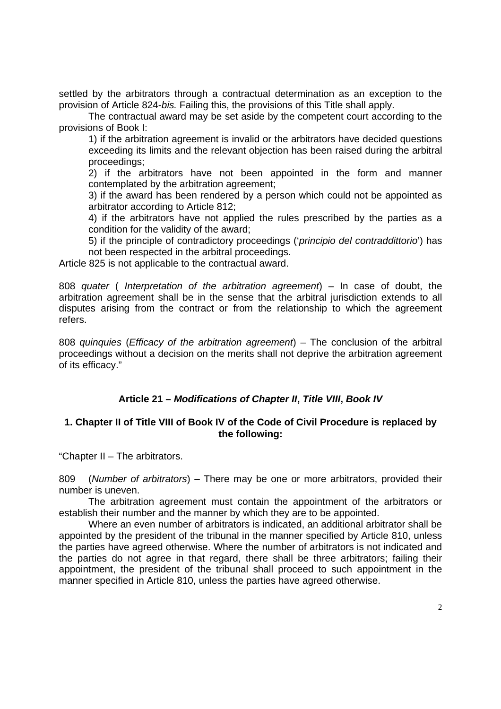settled by the arbitrators through a contractual determination as an exception to the provision of Article 824-*bis.* Failing this, the provisions of this Title shall apply.

 The contractual award may be set aside by the competent court according to the provisions of Book I:

1) if the arbitration agreement is invalid or the arbitrators have decided questions exceeding its limits and the relevant objection has been raised during the arbitral proceedings;

2) if the arbitrators have not been appointed in the form and manner contemplated by the arbitration agreement;

3) if the award has been rendered by a person which could not be appointed as arbitrator according to Article 812;

4) if the arbitrators have not applied the rules prescribed by the parties as a condition for the validity of the award;

5) if the principle of contradictory proceedings ('*principio del contraddittorio*') has not been respected in the arbitral proceedings.

Article 825 is not applicable to the contractual award.

808 *quater* ( *Interpretation of the arbitration agreement*) – In case of doubt, the arbitration agreement shall be in the sense that the arbitral jurisdiction extends to all disputes arising from the contract or from the relationship to which the agreement refers.

808 *quinquies* (*Efficacy of the arbitration agreement*) – The conclusion of the arbitral proceedings without a decision on the merits shall not deprive the arbitration agreement of its efficacy."

#### **Article 21 –** *Modifications of Chapter II***,** *Title VIII***,** *Book IV*

## **1. Chapter II of Title VIII of Book IV of the Code of Civil Procedure is replaced by the following:**

"Chapter II – The arbitrators.

809 (*Number of arbitrators*) – There may be one or more arbitrators, provided their number is uneven.

 The arbitration agreement must contain the appointment of the arbitrators or establish their number and the manner by which they are to be appointed.

 Where an even number of arbitrators is indicated, an additional arbitrator shall be appointed by the president of the tribunal in the manner specified by Article 810, unless the parties have agreed otherwise. Where the number of arbitrators is not indicated and the parties do not agree in that regard, there shall be three arbitrators; failing their appointment, the president of the tribunal shall proceed to such appointment in the manner specified in Article 810, unless the parties have agreed otherwise.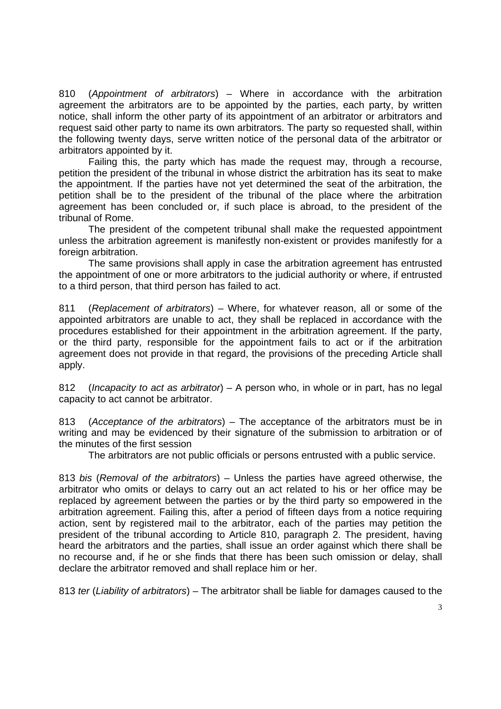810 (*Appointment of arbitrators*) – Where in accordance with the arbitration agreement the arbitrators are to be appointed by the parties, each party, by written notice, shall inform the other party of its appointment of an arbitrator or arbitrators and request said other party to name its own arbitrators. The party so requested shall, within the following twenty days, serve written notice of the personal data of the arbitrator or arbitrators appointed by it.

 Failing this, the party which has made the request may, through a recourse, petition the president of the tribunal in whose district the arbitration has its seat to make the appointment. If the parties have not yet determined the seat of the arbitration, the petition shall be to the president of the tribunal of the place where the arbitration agreement has been concluded or, if such place is abroad, to the president of the tribunal of Rome.

 The president of the competent tribunal shall make the requested appointment unless the arbitration agreement is manifestly non-existent or provides manifestly for a foreign arbitration.

 The same provisions shall apply in case the arbitration agreement has entrusted the appointment of one or more arbitrators to the judicial authority or where, if entrusted to a third person, that third person has failed to act.

811 (*Replacement of arbitrators*) – Where, for whatever reason, all or some of the appointed arbitrators are unable to act, they shall be replaced in accordance with the procedures established for their appointment in the arbitration agreement. If the party, or the third party, responsible for the appointment fails to act or if the arbitration agreement does not provide in that regard, the provisions of the preceding Article shall apply.

812 (*Incapacity to act as arbitrator*) – A person who, in whole or in part, has no legal capacity to act cannot be arbitrator.

813 (*Acceptance of the arbitrators*) – The acceptance of the arbitrators must be in writing and may be evidenced by their signature of the submission to arbitration or of the minutes of the first session

The arbitrators are not public officials or persons entrusted with a public service.

813 *bis* (*Removal of the arbitrators*) – Unless the parties have agreed otherwise, the arbitrator who omits or delays to carry out an act related to his or her office may be replaced by agreement between the parties or by the third party so empowered in the arbitration agreement. Failing this, after a period of fifteen days from a notice requiring action, sent by registered mail to the arbitrator, each of the parties may petition the president of the tribunal according to Article 810, paragraph 2. The president, having heard the arbitrators and the parties, shall issue an order against which there shall be no recourse and, if he or she finds that there has been such omission or delay, shall declare the arbitrator removed and shall replace him or her.

813 *ter* (*Liability of arbitrators*) – The arbitrator shall be liable for damages caused to the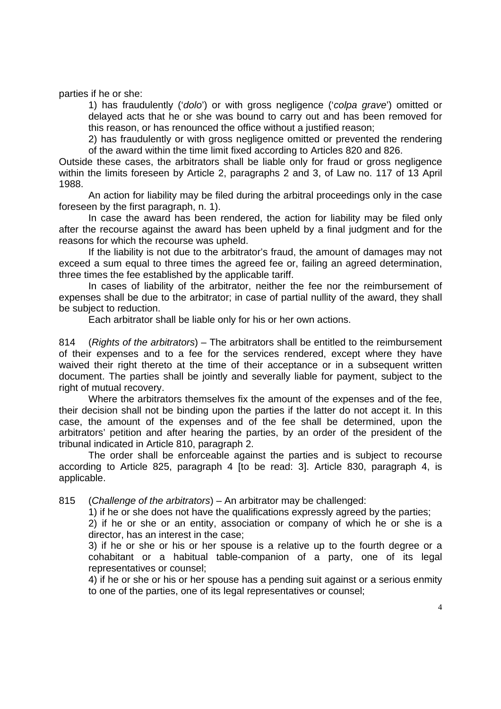parties if he or she:

1) has fraudulently ('*dolo*') or with gross negligence ('*colpa grave*') omitted or delayed acts that he or she was bound to carry out and has been removed for this reason, or has renounced the office without a justified reason;

2) has fraudulently or with gross negligence omitted or prevented the rendering of the award within the time limit fixed according to Articles 820 and 826.

Outside these cases, the arbitrators shall be liable only for fraud or gross negligence within the limits foreseen by Article 2, paragraphs 2 and 3, of Law no. 117 of 13 April 1988.

 An action for liability may be filed during the arbitral proceedings only in the case foreseen by the first paragraph, n. 1).

 In case the award has been rendered, the action for liability may be filed only after the recourse against the award has been upheld by a final judgment and for the reasons for which the recourse was upheld.

 If the liability is not due to the arbitrator's fraud, the amount of damages may not exceed a sum equal to three times the agreed fee or, failing an agreed determination, three times the fee established by the applicable tariff.

 In cases of liability of the arbitrator, neither the fee nor the reimbursement of expenses shall be due to the arbitrator; in case of partial nullity of the award, they shall be subject to reduction.

Each arbitrator shall be liable only for his or her own actions.

814 (*Rights of the arbitrators*) – The arbitrators shall be entitled to the reimbursement of their expenses and to a fee for the services rendered, except where they have waived their right thereto at the time of their acceptance or in a subsequent written document. The parties shall be jointly and severally liable for payment, subject to the right of mutual recovery.

 Where the arbitrators themselves fix the amount of the expenses and of the fee, their decision shall not be binding upon the parties if the latter do not accept it. In this case, the amount of the expenses and of the fee shall be determined, upon the arbitrators' petition and after hearing the parties, by an order of the president of the tribunal indicated in Article 810, paragraph 2.

 The order shall be enforceable against the parties and is subject to recourse according to Article 825, paragraph 4 [to be read: 3]. Article 830, paragraph 4, is applicable.

815 (*Challenge of the arbitrators*) – An arbitrator may be challenged:

1) if he or she does not have the qualifications expressly agreed by the parties;

2) if he or she or an entity, association or company of which he or she is a director, has an interest in the case;

3) if he or she or his or her spouse is a relative up to the fourth degree or a cohabitant or a habitual table-companion of a party, one of its legal representatives or counsel;

4) if he or she or his or her spouse has a pending suit against or a serious enmity to one of the parties, one of its legal representatives or counsel;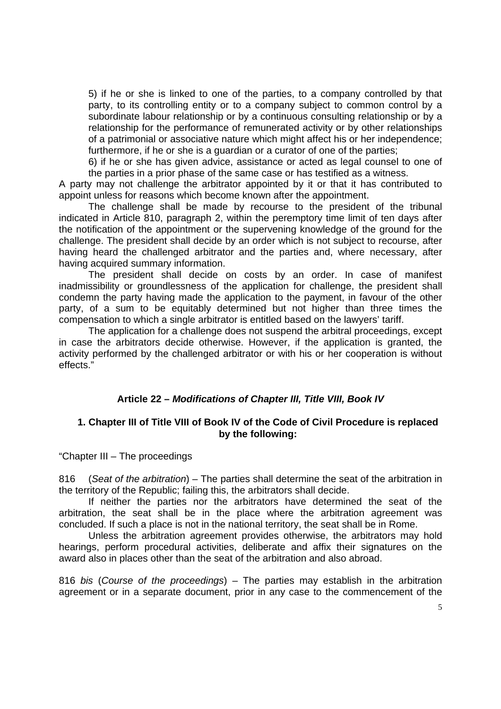5) if he or she is linked to one of the parties, to a company controlled by that party, to its controlling entity or to a company subject to common control by a subordinate labour relationship or by a continuous consulting relationship or by a relationship for the performance of remunerated activity or by other relationships of a patrimonial or associative nature which might affect his or her independence; furthermore, if he or she is a guardian or a curator of one of the parties;

6) if he or she has given advice, assistance or acted as legal counsel to one of the parties in a prior phase of the same case or has testified as a witness.

A party may not challenge the arbitrator appointed by it or that it has contributed to appoint unless for reasons which become known after the appointment.

 The challenge shall be made by recourse to the president of the tribunal indicated in Article 810, paragraph 2, within the peremptory time limit of ten days after the notification of the appointment or the supervening knowledge of the ground for the challenge. The president shall decide by an order which is not subject to recourse, after having heard the challenged arbitrator and the parties and, where necessary, after having acquired summary information.

 The president shall decide on costs by an order. In case of manifest inadmissibility or groundlessness of the application for challenge, the president shall condemn the party having made the application to the payment, in favour of the other party, of a sum to be equitably determined but not higher than three times the compensation to which a single arbitrator is entitled based on the lawyers' tariff.

 The application for a challenge does not suspend the arbitral proceedings, except in case the arbitrators decide otherwise. However, if the application is granted, the activity performed by the challenged arbitrator or with his or her cooperation is without effects."

## **Article 22 –** *Modifications of Chapter III, Title VIII, Book IV*

### **1. Chapter III of Title VIII of Book IV of the Code of Civil Procedure is replaced by the following:**

"Chapter III – The proceedings

816 (*Seat of the arbitration*) – The parties shall determine the seat of the arbitration in the territory of the Republic; failing this, the arbitrators shall decide.

 If neither the parties nor the arbitrators have determined the seat of the arbitration, the seat shall be in the place where the arbitration agreement was concluded. If such a place is not in the national territory, the seat shall be in Rome.

 Unless the arbitration agreement provides otherwise, the arbitrators may hold hearings, perform procedural activities, deliberate and affix their signatures on the award also in places other than the seat of the arbitration and also abroad.

816 *bis* (*Course of the proceedings*) – The parties may establish in the arbitration agreement or in a separate document, prior in any case to the commencement of the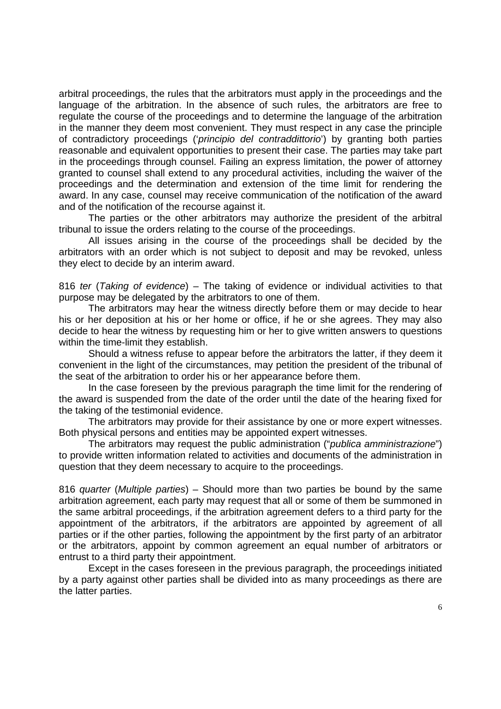arbitral proceedings, the rules that the arbitrators must apply in the proceedings and the language of the arbitration. In the absence of such rules, the arbitrators are free to regulate the course of the proceedings and to determine the language of the arbitration in the manner they deem most convenient. They must respect in any case the principle of contradictory proceedings ('*principio del contraddittorio*') by granting both parties reasonable and equivalent opportunities to present their case. The parties may take part in the proceedings through counsel. Failing an express limitation, the power of attorney granted to counsel shall extend to any procedural activities, including the waiver of the proceedings and the determination and extension of the time limit for rendering the award. In any case, counsel may receive communication of the notification of the award and of the notification of the recourse against it.

 The parties or the other arbitrators may authorize the president of the arbitral tribunal to issue the orders relating to the course of the proceedings.

 All issues arising in the course of the proceedings shall be decided by the arbitrators with an order which is not subject to deposit and may be revoked, unless they elect to decide by an interim award.

816 *ter* (*Taking of evidence*) – The taking of evidence or individual activities to that purpose may be delegated by the arbitrators to one of them.

 The arbitrators may hear the witness directly before them or may decide to hear his or her deposition at his or her home or office, if he or she agrees. They may also decide to hear the witness by requesting him or her to give written answers to questions within the time-limit they establish.

 Should a witness refuse to appear before the arbitrators the latter, if they deem it convenient in the light of the circumstances, may petition the president of the tribunal of the seat of the arbitration to order his or her appearance before them.

 In the case foreseen by the previous paragraph the time limit for the rendering of the award is suspended from the date of the order until the date of the hearing fixed for the taking of the testimonial evidence.

 The arbitrators may provide for their assistance by one or more expert witnesses. Both physical persons and entities may be appointed expert witnesses.

 The arbitrators may request the public administration ("*publica amministrazione*") to provide written information related to activities and documents of the administration in question that they deem necessary to acquire to the proceedings.

816 *quarter* (*Multiple parties*) – Should more than two parties be bound by the same arbitration agreement, each party may request that all or some of them be summoned in the same arbitral proceedings, if the arbitration agreement defers to a third party for the appointment of the arbitrators, if the arbitrators are appointed by agreement of all parties or if the other parties, following the appointment by the first party of an arbitrator or the arbitrators, appoint by common agreement an equal number of arbitrators or entrust to a third party their appointment.

 Except in the cases foreseen in the previous paragraph, the proceedings initiated by a party against other parties shall be divided into as many proceedings as there are the latter parties.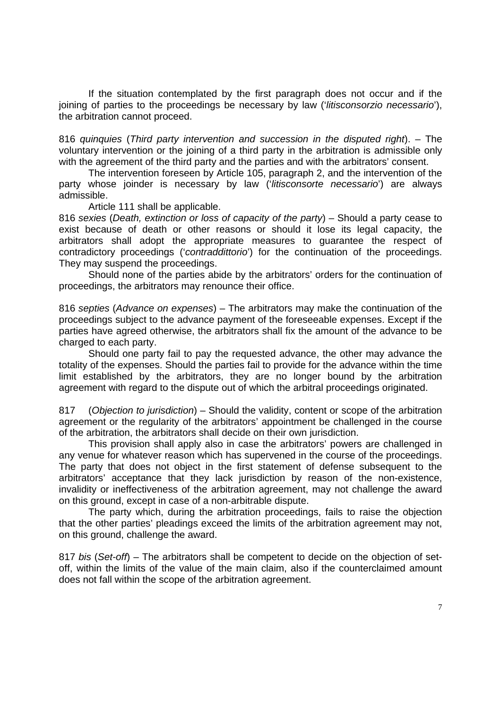If the situation contemplated by the first paragraph does not occur and if the joining of parties to the proceedings be necessary by law ('*litisconsorzio necessario*'), the arbitration cannot proceed.

816 *quinquies* (*Third party intervention and succession in the disputed right*). – The voluntary intervention or the joining of a third party in the arbitration is admissible only with the agreement of the third party and the parties and with the arbitrators' consent.

 The intervention foreseen by Article 105, paragraph 2, and the intervention of the party whose joinder is necessary by law ('*litisconsorte necessario*') are always admissible.

#### Article 111 shall be applicable.

816 *sexies* (*Death, extinction or loss of capacity of the party*) – Should a party cease to exist because of death or other reasons or should it lose its legal capacity, the arbitrators shall adopt the appropriate measures to guarantee the respect of contradictory proceedings ('*contraddittorio*') for the continuation of the proceedings. They may suspend the proceedings.

 Should none of the parties abide by the arbitrators' orders for the continuation of proceedings, the arbitrators may renounce their office.

816 *septies* (*Advance on expenses*) – The arbitrators may make the continuation of the proceedings subject to the advance payment of the foreseeable expenses. Except if the parties have agreed otherwise, the arbitrators shall fix the amount of the advance to be charged to each party.

 Should one party fail to pay the requested advance, the other may advance the totality of the expenses. Should the parties fail to provide for the advance within the time limit established by the arbitrators, they are no longer bound by the arbitration agreement with regard to the dispute out of which the arbitral proceedings originated.

817 (*Objection to jurisdiction*) – Should the validity, content or scope of the arbitration agreement or the regularity of the arbitrators' appointment be challenged in the course of the arbitration, the arbitrators shall decide on their own jurisdiction.

 This provision shall apply also in case the arbitrators' powers are challenged in any venue for whatever reason which has supervened in the course of the proceedings. The party that does not object in the first statement of defense subsequent to the arbitrators' acceptance that they lack jurisdiction by reason of the non-existence, invalidity or ineffectiveness of the arbitration agreement, may not challenge the award on this ground, except in case of a non-arbitrable dispute.

 The party which, during the arbitration proceedings, fails to raise the objection that the other parties' pleadings exceed the limits of the arbitration agreement may not, on this ground, challenge the award.

817 *bis* (*Set-off*) – The arbitrators shall be competent to decide on the objection of setoff, within the limits of the value of the main claim, also if the counterclaimed amount does not fall within the scope of the arbitration agreement.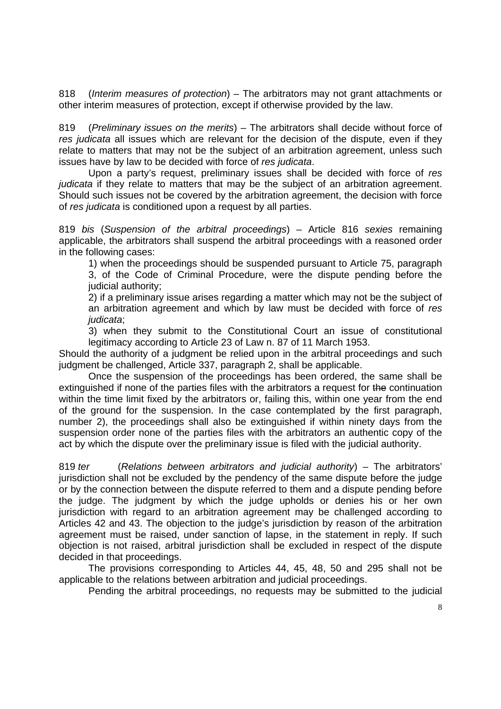818 (*Interim measures of protection*) – The arbitrators may not grant attachments or other interim measures of protection, except if otherwise provided by the law.

819 (*Preliminary issues on the merits*) – The arbitrators shall decide without force of *res judicata* all issues which are relevant for the decision of the dispute, even if they relate to matters that may not be the subject of an arbitration agreement, unless such issues have by law to be decided with force of *res judicata*.

 Upon a party's request, preliminary issues shall be decided with force of *res judicata* if they relate to matters that may be the subject of an arbitration agreement. Should such issues not be covered by the arbitration agreement, the decision with force of *res judicata* is conditioned upon a request by all parties.

819 *bis* (*Suspension of the arbitral proceedings*) – Article 816 *sexies* remaining applicable, the arbitrators shall suspend the arbitral proceedings with a reasoned order in the following cases:

1) when the proceedings should be suspended pursuant to Article 75, paragraph 3, of the Code of Criminal Procedure, were the dispute pending before the judicial authority;

2) if a preliminary issue arises regarding a matter which may not be the subject of an arbitration agreement and which by law must be decided with force of *res judicata*;

3) when they submit to the Constitutional Court an issue of constitutional legitimacy according to Article 23 of Law n. 87 of 11 March 1953.

Should the authority of a judgment be relied upon in the arbitral proceedings and such judgment be challenged, Article 337, paragraph 2, shall be applicable.

 Once the suspension of the proceedings has been ordered, the same shall be extinguished if none of the parties files with the arbitrators a request for the continuation within the time limit fixed by the arbitrators or, failing this, within one year from the end of the ground for the suspension. In the case contemplated by the first paragraph, number 2), the proceedings shall also be extinguished if within ninety days from the suspension order none of the parties files with the arbitrators an authentic copy of the act by which the dispute over the preliminary issue is filed with the judicial authority.

819 *ter* (*Relations between arbitrators and judicial authority*) – The arbitrators' jurisdiction shall not be excluded by the pendency of the same dispute before the judge or by the connection between the dispute referred to them and a dispute pending before the judge. The judgment by which the judge upholds or denies his or her own jurisdiction with regard to an arbitration agreement may be challenged according to Articles 42 and 43. The objection to the judge's jurisdiction by reason of the arbitration agreement must be raised, under sanction of lapse, in the statement in reply. If such objection is not raised, arbitral jurisdiction shall be excluded in respect of the dispute decided in that proceedings.

 The provisions corresponding to Articles 44, 45, 48, 50 and 295 shall not be applicable to the relations between arbitration and judicial proceedings.

Pending the arbitral proceedings, no requests may be submitted to the judicial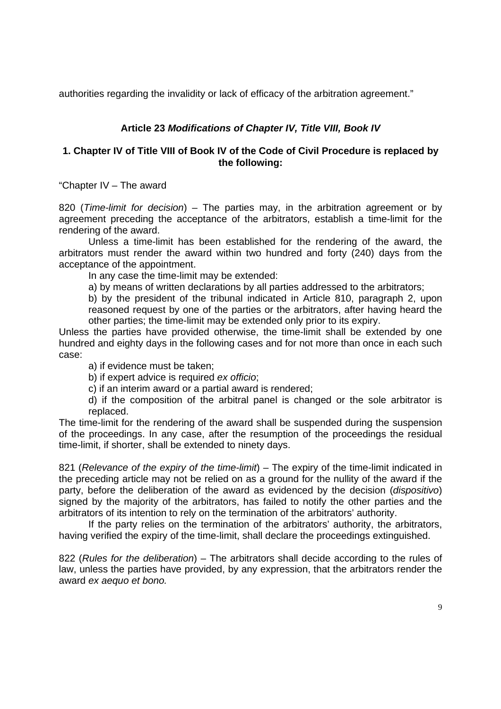authorities regarding the invalidity or lack of efficacy of the arbitration agreement."

# **Article 23** *Modifications of Chapter IV, Title VIII, Book IV*

### **1. Chapter IV of Title VIII of Book IV of the Code of Civil Procedure is replaced by the following:**

"Chapter IV – The award

820 (*Time-limit for decision*) – The parties may, in the arbitration agreement or by agreement preceding the acceptance of the arbitrators, establish a time-limit for the rendering of the award.

 Unless a time-limit has been established for the rendering of the award, the arbitrators must render the award within two hundred and forty (240) days from the acceptance of the appointment.

In any case the time-limit may be extended:

a) by means of written declarations by all parties addressed to the arbitrators;

b) by the president of the tribunal indicated in Article 810, paragraph 2, upon reasoned request by one of the parties or the arbitrators, after having heard the other parties; the time-limit may be extended only prior to its expiry.

Unless the parties have provided otherwise, the time-limit shall be extended by one hundred and eighty days in the following cases and for not more than once in each such case:

a) if evidence must be taken;

b) if expert advice is required *ex officio*;

c) if an interim award or a partial award is rendered;

d) if the composition of the arbitral panel is changed or the sole arbitrator is replaced.

The time-limit for the rendering of the award shall be suspended during the suspension of the proceedings. In any case, after the resumption of the proceedings the residual time-limit, if shorter, shall be extended to ninety days.

821 (*Relevance of the expiry of the time-limit*) – The expiry of the time-limit indicated in the preceding article may not be relied on as a ground for the nullity of the award if the party, before the deliberation of the award as evidenced by the decision (*dispositivo*) signed by the majority of the arbitrators, has failed to notify the other parties and the arbitrators of its intention to rely on the termination of the arbitrators' authority.

 If the party relies on the termination of the arbitrators' authority, the arbitrators, having verified the expiry of the time-limit, shall declare the proceedings extinguished.

822 (*Rules for the deliberation*) – The arbitrators shall decide according to the rules of law, unless the parties have provided, by any expression, that the arbitrators render the award *ex aequo et bono.*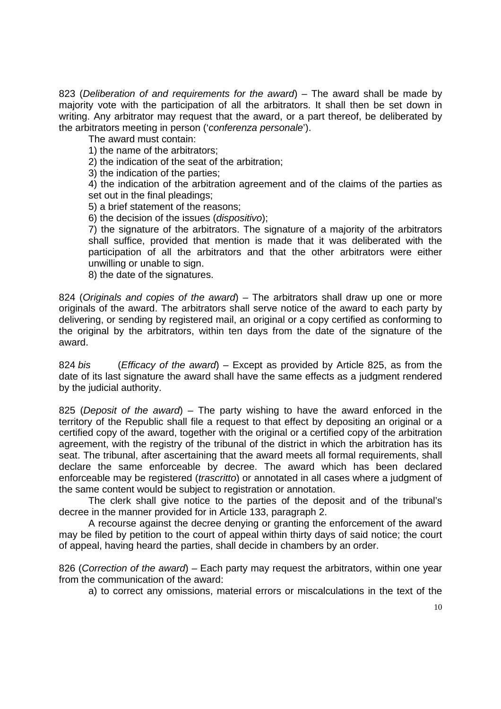823 (*Deliberation of and requirements for the award*) – The award shall be made by majority vote with the participation of all the arbitrators. It shall then be set down in writing. Any arbitrator may request that the award, or a part thereof, be deliberated by the arbitrators meeting in person ('*conferenza personale*').

The award must contain:

1) the name of the arbitrators;

2) the indication of the seat of the arbitration;

3) the indication of the parties;

4) the indication of the arbitration agreement and of the claims of the parties as set out in the final pleadings;

5) a brief statement of the reasons;

6) the decision of the issues (*dispositivo*);

7) the signature of the arbitrators. The signature of a majority of the arbitrators shall suffice, provided that mention is made that it was deliberated with the participation of all the arbitrators and that the other arbitrators were either unwilling or unable to sign.

8) the date of the signatures.

824 (*Originals and copies of the award*) – The arbitrators shall draw up one or more originals of the award. The arbitrators shall serve notice of the award to each party by delivering, or sending by registered mail, an original or a copy certified as conforming to the original by the arbitrators, within ten days from the date of the signature of the award.

824 *bis* (*Efficacy of the award*) – Except as provided by Article 825, as from the date of its last signature the award shall have the same effects as a judgment rendered by the judicial authority.

825 (*Deposit of the award*) – The party wishing to have the award enforced in the territory of the Republic shall file a request to that effect by depositing an original or a certified copy of the award, together with the original or a certified copy of the arbitration agreement, with the registry of the tribunal of the district in which the arbitration has its seat. The tribunal, after ascertaining that the award meets all formal requirements, shall declare the same enforceable by decree. The award which has been declared enforceable may be registered (*trascritto*) or annotated in all cases where a judgment of the same content would be subject to registration or annotation.

 The clerk shall give notice to the parties of the deposit and of the tribunal's decree in the manner provided for in Article 133, paragraph 2.

 A recourse against the decree denying or granting the enforcement of the award may be filed by petition to the court of appeal within thirty days of said notice; the court of appeal, having heard the parties, shall decide in chambers by an order.

826 (*Correction of the award*) – Each party may request the arbitrators, within one year from the communication of the award:

a) to correct any omissions, material errors or miscalculations in the text of the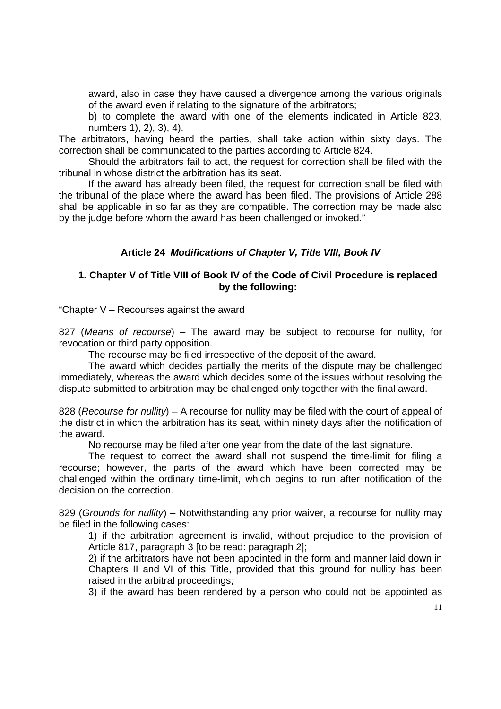award, also in case they have caused a divergence among the various originals of the award even if relating to the signature of the arbitrators;

b) to complete the award with one of the elements indicated in Article 823, numbers 1), 2), 3), 4).

The arbitrators, having heard the parties, shall take action within sixty days. The correction shall be communicated to the parties according to Article 824.

 Should the arbitrators fail to act, the request for correction shall be filed with the tribunal in whose district the arbitration has its seat.

 If the award has already been filed, the request for correction shall be filed with the tribunal of the place where the award has been filed. The provisions of Article 288 shall be applicable in so far as they are compatible. The correction may be made also by the judge before whom the award has been challenged or invoked."

#### **Article 24** *Modifications of Chapter V, Title VIII, Book IV*

#### **1. Chapter V of Title VIII of Book IV of the Code of Civil Procedure is replaced by the following:**

"Chapter V – Recourses against the award

827 (*Means of recourse*) – The award may be subject to recourse for nullity, for revocation or third party opposition.

The recourse may be filed irrespective of the deposit of the award.

 The award which decides partially the merits of the dispute may be challenged immediately, whereas the award which decides some of the issues without resolving the dispute submitted to arbitration may be challenged only together with the final award.

828 (*Recourse for nullity*) – A recourse for nullity may be filed with the court of appeal of the district in which the arbitration has its seat, within ninety days after the notification of the award.

No recourse may be filed after one year from the date of the last signature.

 The request to correct the award shall not suspend the time-limit for filing a recourse; however, the parts of the award which have been corrected may be challenged within the ordinary time-limit, which begins to run after notification of the decision on the correction.

829 (*Grounds for nullity*) – Notwithstanding any prior waiver, a recourse for nullity may be filed in the following cases:

1) if the arbitration agreement is invalid, without prejudice to the provision of Article 817, paragraph 3 [to be read: paragraph 2];

2) if the arbitrators have not been appointed in the form and manner laid down in Chapters II and VI of this Title, provided that this ground for nullity has been raised in the arbitral proceedings;

3) if the award has been rendered by a person who could not be appointed as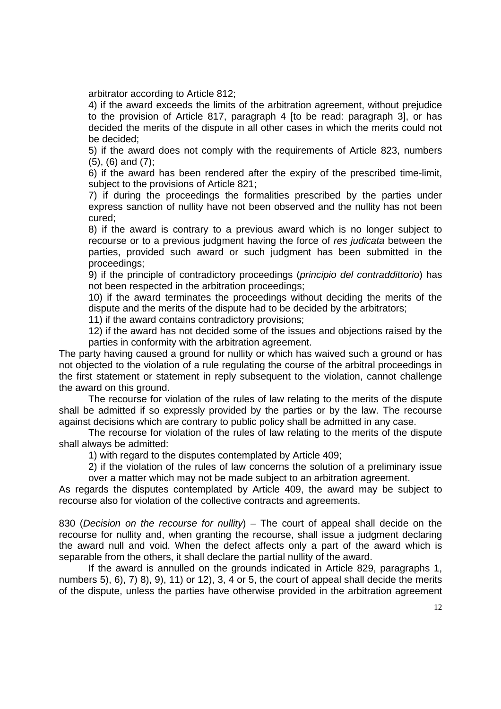arbitrator according to Article 812;

4) if the award exceeds the limits of the arbitration agreement, without prejudice to the provision of Article 817, paragraph 4 [to be read: paragraph 3], or has decided the merits of the dispute in all other cases in which the merits could not be decided;

5) if the award does not comply with the requirements of Article 823, numbers (5), (6) and (7);

6) if the award has been rendered after the expiry of the prescribed time-limit, subject to the provisions of Article 821;

7) if during the proceedings the formalities prescribed by the parties under express sanction of nullity have not been observed and the nullity has not been cured;

8) if the award is contrary to a previous award which is no longer subject to recourse or to a previous judgment having the force of *res judicata* between the parties, provided such award or such judgment has been submitted in the proceedings;

9) if the principle of contradictory proceedings (*principio del contraddittorio*) has not been respected in the arbitration proceedings;

10) if the award terminates the proceedings without deciding the merits of the dispute and the merits of the dispute had to be decided by the arbitrators;

11) if the award contains contradictory provisions;

12) if the award has not decided some of the issues and objections raised by the parties in conformity with the arbitration agreement.

The party having caused a ground for nullity or which has waived such a ground or has not objected to the violation of a rule regulating the course of the arbitral proceedings in the first statement or statement in reply subsequent to the violation, cannot challenge the award on this ground.

 The recourse for violation of the rules of law relating to the merits of the dispute shall be admitted if so expressly provided by the parties or by the law. The recourse against decisions which are contrary to public policy shall be admitted in any case.

 The recourse for violation of the rules of law relating to the merits of the dispute shall always be admitted:

1) with regard to the disputes contemplated by Article 409;

2) if the violation of the rules of law concerns the solution of a preliminary issue over a matter which may not be made subject to an arbitration agreement.

As regards the disputes contemplated by Article 409, the award may be subject to recourse also for violation of the collective contracts and agreements.

830 (*Decision on the recourse for nullity*) – The court of appeal shall decide on the recourse for nullity and, when granting the recourse, shall issue a judgment declaring the award null and void. When the defect affects only a part of the award which is separable from the others, it shall declare the partial nullity of the award.

 If the award is annulled on the grounds indicated in Article 829, paragraphs 1, numbers 5), 6), 7) 8), 9), 11) or 12), 3, 4 or 5, the court of appeal shall decide the merits of the dispute, unless the parties have otherwise provided in the arbitration agreement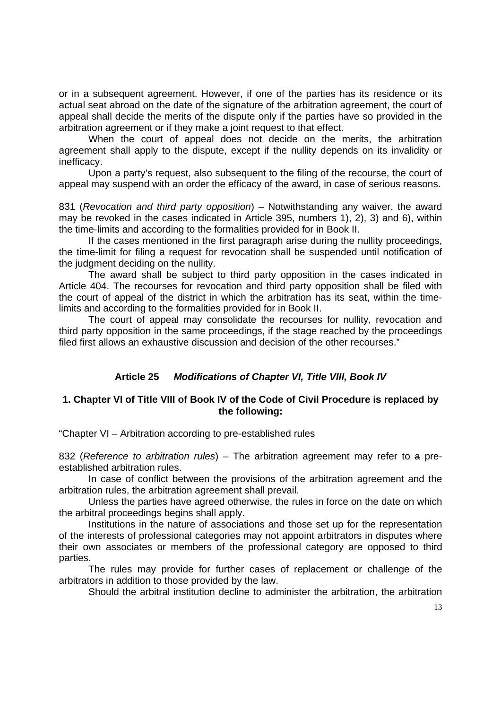or in a subsequent agreement. However, if one of the parties has its residence or its actual seat abroad on the date of the signature of the arbitration agreement, the court of appeal shall decide the merits of the dispute only if the parties have so provided in the arbitration agreement or if they make a joint request to that effect.

 When the court of appeal does not decide on the merits, the arbitration agreement shall apply to the dispute, except if the nullity depends on its invalidity or inefficacy.

 Upon a party's request, also subsequent to the filing of the recourse, the court of appeal may suspend with an order the efficacy of the award, in case of serious reasons.

831 (*Revocation and third party opposition*) – Notwithstanding any waiver, the award may be revoked in the cases indicated in Article 395, numbers 1), 2), 3) and 6), within the time-limits and according to the formalities provided for in Book II.

 If the cases mentioned in the first paragraph arise during the nullity proceedings, the time-limit for filing a request for revocation shall be suspended until notification of the judgment deciding on the nullity.

 The award shall be subject to third party opposition in the cases indicated in Article 404. The recourses for revocation and third party opposition shall be filed with the court of appeal of the district in which the arbitration has its seat, within the timelimits and according to the formalities provided for in Book II.

 The court of appeal may consolidate the recourses for nullity, revocation and third party opposition in the same proceedings, if the stage reached by the proceedings filed first allows an exhaustive discussion and decision of the other recourses."

## **Article 25** *Modifications of Chapter VI, Title VIII, Book IV*

#### **1. Chapter VI of Title VIII of Book IV of the Code of Civil Procedure is replaced by the following:**

"Chapter VI – Arbitration according to pre-established rules

832 (*Reference to arbitration rules*) – The arbitration agreement may refer to a preestablished arbitration rules.

 In case of conflict between the provisions of the arbitration agreement and the arbitration rules, the arbitration agreement shall prevail.

 Unless the parties have agreed otherwise, the rules in force on the date on which the arbitral proceedings begins shall apply.

 Institutions in the nature of associations and those set up for the representation of the interests of professional categories may not appoint arbitrators in disputes where their own associates or members of the professional category are opposed to third parties.

 The rules may provide for further cases of replacement or challenge of the arbitrators in addition to those provided by the law.

Should the arbitral institution decline to administer the arbitration, the arbitration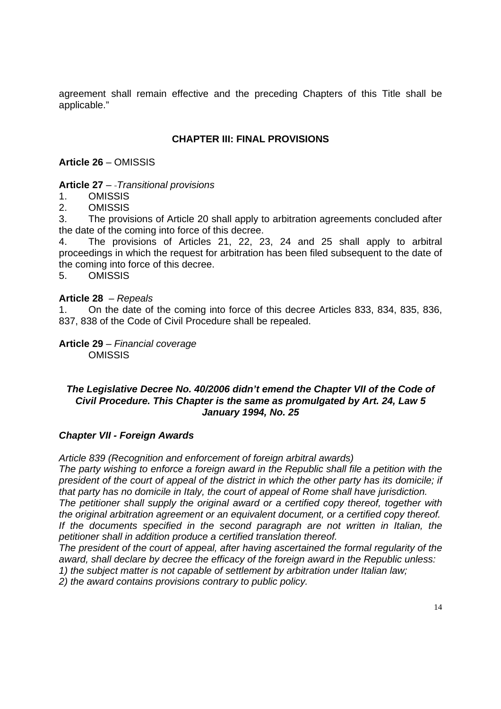agreement shall remain effective and the preceding Chapters of this Title shall be applicable."

### **CHAPTER III: FINAL PROVISIONS**

**Article 26** – OMISSIS

#### **Article 27** – *Transitional provisions*

- 1. OMISSIS
- 2. OMISSIS

3. The provisions of Article 20 shall apply to arbitration agreements concluded after the date of the coming into force of this decree.

4. The provisions of Articles 21, 22, 23, 24 and 25 shall apply to arbitral proceedings in which the request for arbitration has been filed subsequent to the date of the coming into force of this decree.

5. OMISSIS

#### **Article 28** – *Repeals*

1. On the date of the coming into force of this decree Articles 833, 834, 835, 836, 837, 838 of the Code of Civil Procedure shall be repealed.

**Article 29** – *Financial coverage*  **OMISSIS** 

### *The Legislative Decree No. 40/2006 didn't emend the Chapter VII of the Code of Civil Procedure. This Chapter is the same as promulgated by Art. 24, Law 5 January 1994, No. 25*

#### *Chapter VII - Foreign Awards*

*Article 839 (Recognition and enforcement of foreign arbitral awards)* 

*The party wishing to enforce a foreign award in the Republic shall file a petition with the president of the court of appeal of the district in which the other party has its domicile; if that party has no domicile in Italy, the court of appeal of Rome shall have jurisdiction.* 

*The petitioner shall supply the original award or a certified copy thereof, together with the original arbitration agreement or an equivalent document, or a certified copy thereof. If the documents specified in the second paragraph are not written in Italian, the petitioner shall in addition produce a certified translation thereof.* 

*The president of the court of appeal, after having ascertained the formal regularity of the award, shall declare by decree the efficacy of the foreign award in the Republic unless: 1) the subject matter is not capable of settlement by arbitration under Italian law;* 

*2) the award contains provisions contrary to public policy.*